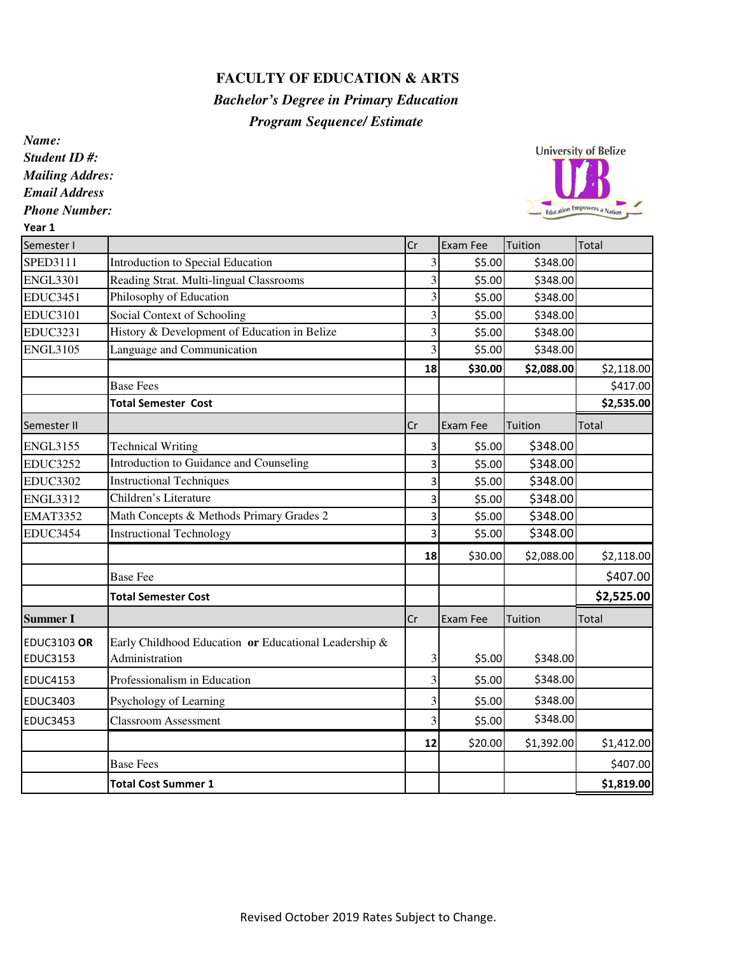## **FACULTY OF EDUCATION & ARTS**

## *Bachelor's Degree in Primary Education Program Sequence/ Estimate*

*Name: Student ID #: Mailing Addres: Email Address Phone Number:*



| Year 1             |                                                       |    |          |            |            |
|--------------------|-------------------------------------------------------|----|----------|------------|------------|
| Semester I         |                                                       | Cr | Exam Fee | Tuition    | Total      |
| SPED3111           | Introduction to Special Education                     | 3  | \$5.00   | \$348.00   |            |
| <b>ENGL3301</b>    | Reading Strat. Multi-lingual Classrooms               | 3  | \$5.00   | \$348.00   |            |
| <b>EDUC3451</b>    | Philosophy of Education                               | 3  | \$5.00   | \$348.00   |            |
| <b>EDUC3101</b>    | Social Context of Schooling                           | 3  | \$5.00   | \$348.00   |            |
| <b>EDUC3231</b>    | History & Development of Education in Belize          | 3  | \$5.00   | \$348.00   |            |
| <b>ENGL3105</b>    | Language and Communication                            | 3  | \$5.00   | \$348.00   |            |
|                    |                                                       | 18 | \$30.00  | \$2,088.00 | \$2,118.00 |
|                    | <b>Base Fees</b>                                      |    |          |            | \$417.00   |
|                    | <b>Total Semester Cost</b>                            |    |          |            | \$2,535.00 |
| Semester II        |                                                       | Cr | Exam Fee | Tuition    | Total      |
| <b>ENGL3155</b>    | <b>Technical Writing</b>                              | 3  | \$5.00   | \$348.00   |            |
| <b>EDUC3252</b>    | Introduction to Guidance and Counseling               | 3  | \$5.00   | \$348.00   |            |
| <b>EDUC3302</b>    | <b>Instructional Techniques</b>                       | 3  | \$5.00   | \$348.00   |            |
| <b>ENGL3312</b>    | Children's Literature                                 | 3  | \$5.00   | \$348.00   |            |
| <b>EMAT3352</b>    | Math Concepts & Methods Primary Grades 2              | 3  | \$5.00   | \$348.00   |            |
| EDUC3454           | <b>Instructional Technology</b>                       | 3  | \$5.00   | \$348.00   |            |
|                    |                                                       | 18 | \$30.00  | \$2,088.00 | \$2,118.00 |
|                    | <b>Base Fee</b>                                       |    |          |            | \$407.00   |
|                    | <b>Total Semester Cost</b>                            |    |          |            | \$2,525.00 |
| <b>Summer I</b>    |                                                       | Cr | Exam Fee | Tuition    | Total      |
| <b>EDUC3103 OR</b> | Early Childhood Education or Educational Leadership & |    |          |            |            |
| <b>EDUC3153</b>    | Administration                                        | 3  | \$5.00   | \$348.00   |            |
| <b>EDUC4153</b>    | Professionalism in Education                          | 3  | \$5.00   | \$348.00   |            |
| <b>EDUC3403</b>    | Psychology of Learning                                | 3  | \$5.00   | \$348.00   |            |
| <b>EDUC3453</b>    | <b>Classroom Assessment</b>                           | 3  | \$5.00   | \$348.00   |            |
|                    |                                                       | 12 | \$20.00  | \$1,392.00 | \$1,412.00 |
|                    | <b>Base Fees</b>                                      |    |          |            | \$407.00   |
|                    | <b>Total Cost Summer 1</b>                            |    |          |            | \$1,819.00 |